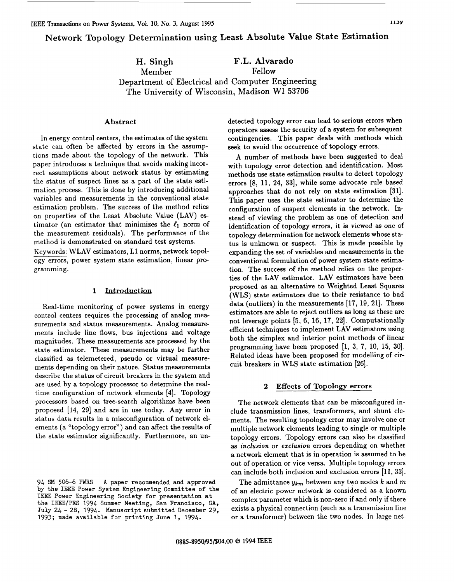# **Network Topology Determination using Least Absolute Value State Estimation**

**H. Singh F.L. Alvarado** 

**Member Fellow** 

**Department of Electrical and Computer Engineering The University of Wisconsin, Madison WI 53706** 

# **Abstract**

In energy control centers, the estimates of the system state can often be affected by errors in the assumptions made about the topology of the network. This paper introduces a technique that avoids making incorrect assumptions about network status by estimating the status of suspect lines **as** a part of the state estimation process. This is done by introducing additional variables and measurements in the conventional state estimation problem. The success of the method relies on properties of the Least Absolute Value (LAV) estimator (an estimator that minimizes the  $\ell_1$  norm of the measurement residuals). The performance of the method is demonstrated on standard test systems. Keywords: WLAV estimators, L1 norms, network topol-

ogy errors, power system state estimation, linear programming.

# **1 Introduction**

Real-time monitoring of power systems in energy control centers requires the processing of analog measurements and status measurements. Analog measurements include line flows, bus injections and voltage magnitudes. These measurements are processed by the state estimator. These measurements may be further classified **as** telemetered, pseudo **or** virtual measurements depending on their nature. Status measurements describe the status of circuit breakers in the system and are used by a topology processor to determine the realtime configuration of network elements **[4].** Topology processors based on tree-search algorithms have been proposed [14, **291** and are in use today. Any error in status data results in a misconfiguration of network elements (a "topology error") and can affect the results of the state estimator significantly. Furthermore, an undetected topology error can lead to serious errors when operators assess the security of a system for subsequent contingencies. This paper deals with methods which seek to avoid the occurrence of topology errors.

A number of methods have been suggested to deal with topology error detection and identification. Most methods use state estimation results to detect topology errors [8, 11, 24, 33], while some advocate rule based approaches that do not rely on state estimation [31]. This paper uses the state estimator to determine the configuration of suspect elements in the network. Instead of viewing the problem as one of detection and identification of topology errors, it is viewed **as** one of topology determination for network elements whose status is unknown **or** suspect. This is made possible by expanding the set of variables and measurements in the conventional formulation of power system state estimation. The success of the method relies on the properties of the LAV estimator. LAV estimators have been proposed as an alternative to Weighted Least Squares (WLS) state estimators due to their resistance to bad data (outliers) in the measurements **[17, 19, 211.** These estimators are able to reject outliers **as** long **as** these are not leverage points [5, **6, 16, 17, 221.** Computationally efficient techniques to implement LAV estimators using both the simplex and interior point methods of linear programming have been proposed [I, **3, 7, 10,** 15, **301.**  Related ideas have been proposed for modelling of circuit breakers in WLS state estimation **[26].** 

# **2 Effects of Topology errors**

The network elements that can be misconfigured include transmission lines, transformers, and shunt elements. The resulting topology error may involve one or multiple network elements leading to single or multiple topology errors. Topology errors can also be classified **as** *inclusion* or *exclusion* errors depending on whether a network element that is in operation is assumed to be out of operation or vice versa. Multiple topology errors can include both inclusion and exclusion errors **[ll, 331.** 

The admittance  $y_{km}$  between any two nodes  $k$  and  $m$ of an electric power network is considered **as** a known complex parameter which is non-zero if and only if there exists a physical connection (such **as** a transmission line **or** a transformer) between the two nodes. In large net-

<sup>94</sup> SM *506-6* PWRS by the IEEE Power System Engineering Committee of the IEEE Power Engineering Society for presentation at the IEEE/PES 1994 Summer Meeting, San Francisco, CA, July 24 - 28, 1994. Manuscript submitted December 29, 1993; made available for printing June 1, 1994. **<sup>A</sup>**paper recommended and approved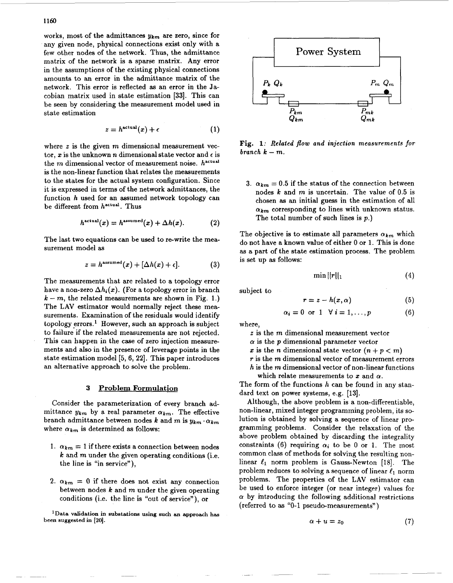works, most of the admittances **Ykm** are zero, since for any given node, physical connections exist only with a few other nodes of the network. Thus, the admittance matrix of the network is a sparse matrix. Any error in the assumptions of the existing physical connections amounts to an error in the admittance matrix of the network. This error is reflected **as** an error in the Jacobian matrix used in state estimation **[33].** This can be seen by considering the measurement model used in state estimation

$$
z = h^{\text{actual}}(x) + \epsilon \tag{1}
$$

where *z* is the given *m* dimensional measurement vector,  $x$  is the unknown  $n$  dimensional state vector and  $\epsilon$  is the *m* dimensional vector of measurement noise. **hactual**  is the non-linear function that relates the measurements to the states for the actual system configuration. Since it **is** expressed in terms of the network admittances, the function **h** used for an assumed network topology can be different from **hacrual.** Thus

$$
h^{\text{actual}}(x) = h^{\text{assumed}}(x) + \Delta h(x). \tag{2}
$$

The last two equations can be used to re-write the measurement model **as** 

$$
z = h^{\text{assumed}}(x) + [\Delta h(x) + \epsilon]. \tag{3}
$$

The measurements that are related to a topology error have a non-zero  $\Delta h_i(x)$ . (For a topology error in branch  $k - m$ , the related measurements are shown in Fig. 1.) The LAV estimator would normally reject these measurements. Examination of the residuals would identify topology errors.<sup>1</sup> However, such an approach is subject to failure if the related measurements are not rejected. This can happen in the case of zero injection measurements and also in the presence of leverage points in the state estimation model [5, **6, 221.** This paper introduces an alternative approach to solve the problem.

## **3 Problem Formulation**

Consider the parameterization of every branch admittance  $y_{km}$  by a real parameter  $\alpha_{km}$ . The effective branch admittance between nodes  $k$  and  $m$  is  $y_{km} \cdot \alpha_{km}$ where  $\alpha_{km}$  is determined as follows:

- 1.  $\alpha_{km} = 1$  if there exists a connection between nodes *<sup>k</sup>*and **m** under the given operating conditions (i.e. the line is "in service"),
- 2.  $\alpha_{km} = 0$  if there does not exist any connection between nodes *k* and *m* under the given operating conditions (i.e. the line is "out of service"), or

**'Data validation in substations using such an approach has been suggested in** *[20].* 



**Fig. 1:** Related *flow* and injection measurements *for*   $branch \; k - m$ .

3.  $\alpha_{km} = 0.5$  if the status of the connection between nodes *k* and m is uncertain. The value of 0.5 is chosen **as** an initial guess in the estimation of all  $\alpha_{km}$  corresponding to lines with unknown status. The total number of such lines is *p.)* 

The objective is to estimate all parameters  $\alpha_{km}$  which do not have a known value of either 0 or 1. This is done **as** a part of the state estimation process. The problem is set up **as** follows:

$$
\min ||r||_1 \tag{4}
$$

subject to

$$
r=z-h(x,\alpha) \tag{5}
$$

$$
\alpha_i = 0 \text{ or } 1 \quad \forall \ i = 1, \dots, p \tag{6}
$$

where,

- *z* is the *m* dimensional measurement vector
- $\alpha$  is the  $p$  dimensional parameter vector
- x is the *n* dimensional state vector  $(n + p < m)$
- *r* is the *rn* dimensional vector of measurement errors
- *h* is the m dimensional vector of non-linear functions which relate measurements to x and  $\alpha$ .

The form of the functions **h** can be found in any standard text on power systems, e.g. [13].

Although, the above problem is a non-differentiable, non-linear, mixed integer programming problem, its solution is obtained by solving a sequence of linear **pro**gramming problems. Consider the relaxation of the above problem obtained by discarding the integrality constraints (6) requiring  $\alpha_i$  to be 0 or 1. The most common class of methods for solving the resulting nonlinear  $\ell_1$  norm problem is Gauss-Newton [18]. The problem reduces to solving a sequence of linear  $\ell_1$  norm problems. The properties of the LAV estimator can be used to enforce integer (or near integer) values for  $\alpha$  by introducing the following additional restrictions (referred to **as** "0-1 pseudo-measurements" )

$$
\alpha + u = z_0 \tag{7}
$$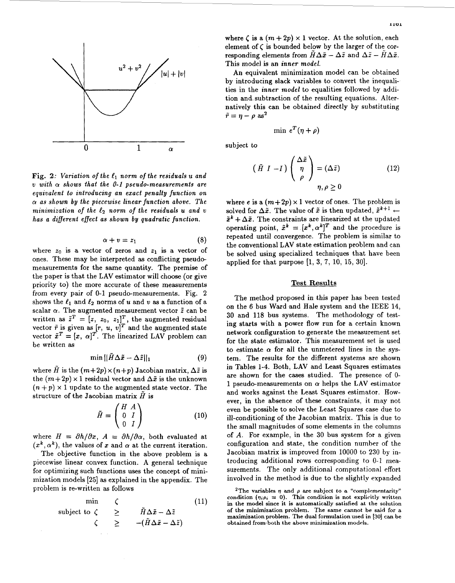

*Fig. 2: Variation of the e, norm of the residuals U and*   $v$  with  $\alpha$  shows that the 0-1 pseudo-measurements are *equivalent to introducing an exact penalty function on*   $\alpha$  as shown by the piecewise linear function above. The *minimization of the*  $\ell_2$  *norm of the residuals <i>u* and *v has a different effect as shown by quadratic function.* 

$$
\alpha + v = z_1 \tag{8}
$$

where  $z_0$  is a vector of zeros and  $z_1$  is a vector of ones. These may be interpreted as conflicting pseudomeasurements for the same quantity. The premise of the paper is that the LAV estimator will choose (or give priority to) the more accurate of these measurements from every pair of 0-1 pseudo-measurements. Fig. 2 shows the  $\ell_1$  and  $\ell_2$  norms of *u* and *v* as a function of a scalar  $\alpha$ . The augmented measurement vector  $\tilde{z}$  can be written as  $\tilde{z}^T = [z, z_0, z_1]^T$ , the augmented residual vector  $\tilde{r}$  is given as  $[r, u, v]^T$  and the augmented state vector  $\tilde{x}^T = [x, \alpha]^T$ . The linearized LAV problem can be written **as** 

$$
\min ||\tilde{H}\Delta \tilde{x} - \Delta \tilde{z}||_1 \tag{9}
$$

where  $\tilde{H}$  is the  $(m+2p) \times (n+p)$  Jacobian matrix,  $\Delta \tilde{z}$  is the  $(m+2p) \times 1$  residual vector and  $\Delta \tilde{x}$  is the unknown  $(n+p) \times 1$  update to the augmented state vector. The structure of the Jacobian matrix *H* is

$$
\tilde{H} = \begin{pmatrix} H & A \\ 0 & I \\ 0 & I \end{pmatrix} \tag{10}
$$

where  $H = \partial h / \partial x$ ,  $A = \partial h / \partial \alpha$ , both evaluated at  $(x^k, \alpha^k)$ , the values of x and  $\alpha$  at the current iteration.

The objective function in the above problem is a piecewise linear convex function. **A** general technique for optimizing such functions uses the concept of minimization models *[25]* **as** explained in the appendix. The problem is re-written **as** follows

$$
\begin{array}{ccc}\n\min & \zeta & (11) \\
\text{subject to } \zeta & \geq & \tilde{H}\Delta\tilde{x} - \Delta\tilde{z} \\
\zeta & \geq & -(\tilde{H}\Delta\tilde{x} - \Delta\tilde{z})\n\end{array}
$$

where  $\zeta$  is a  $(m + 2p) \times 1$  vector. At the solution, each element of *C* is bounded below by the larger of the corresponding elements from  $\tilde{H}\Delta\tilde{x} - \Delta\tilde{z}$  and  $\Delta\tilde{z} - \tilde{H}\Delta\tilde{x}$ . This model is an *inner model.* 

An equivalent minimization model can be obtained by introducing slack variables to convert the inequalities in the *inner model* to equalities followed by addition and. subtraction of the resulting equations. Alternatively this can be obtained directly by substituting  $\tilde{r}=\eta-\rho$  as<sup>2</sup>

$$
\min e^T(\eta+\rho)
$$

subject to

$$
(\tilde{H} I - I) \begin{pmatrix} \Delta \tilde{x} \\ \eta \\ \rho \end{pmatrix} = (\Delta \tilde{z}) \qquad (12)
$$

$$
\eta, \rho \ge 0
$$

where *e* is a  $(m+2p) \times 1$  vector of ones. The problem is solved for  $\Delta \tilde{x}$ . The value of  $\tilde{x}$  is then updated,  $\tilde{x}^{k+1}$   $\leftarrow$  $\tilde{x}^k + \Delta \tilde{x}$ . The constraints are linearized at the updated operating point,  $\tilde{x}^k = [x^k, \alpha^k]^T$  and the procedure is repeated until convergence. The problem is similar to the conventional LAV state estimation problem and can be solved using specialized techniques that have been applied for that purpose **[l, 3, 7,** 10, **15,** *301.* 

#### **Test Results**

The method proposed in this paper has been tested on the *6* bus Ward and Hale system and the IEEE **14, 30** and **118** bus systems. The methodology of testing starts with a power flow run for a certain known network configuration to generate the measurement set for the state estimator. This measurement set is used to estimate  $\alpha$  for all the unmetered lines in the system. The results for the different systems are shown in Tables **1-4.** Both, LAV and Least Squares estimates are shown for the cases studied. The presence of 0- 1 pseudo-measurements on  $\alpha$  helps the LAV estimator and works against the Least Squares estimator. However, in the absence of these constraints, it may not even be possible to solve the Least Squares case due to ill-conditioning of the Jacobian matrix. This is due to the small magnitudes of some elements in the columns of *A.* For example, in the **30** bus system for a given configuration and state, the condition number of the Jacobian matrix is improved from 10000 to 230 by introducing additional rows corresponding to  $0-1$  measurements. The only additional computational effort involved in the method is due to the slightly expanded

<sup>&</sup>lt;sup>2</sup>The variables  $\eta$  and  $\rho$  are subject to a "complementarity" condition  $(\eta_i \rho_i = 0)$ . This condition is not explicitly written **in the model since it is automatically satisfied at the solution of the minimization problem. The same** *cannot* **be said for a maximization problem. The dual formulation used in [30] can be**  obtained from both the above minimization models.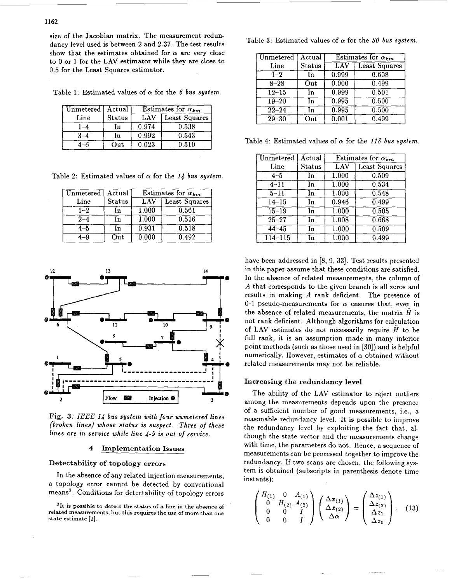size of the Jacobian matrix. The measurement redundancy level used is between **2** and **2.37.** The test results show that the estimates obtained for  $\alpha$  are very close to 0 or **1** for the LAV estimator while they are close to **0.5** for the Least Squares estimator.

Table 1: Estimated values of  $\alpha$  for the 6 *bus system*.

| Unmetered   Actual |               | Estimates for $\alpha_{km}$ |               |
|--------------------|---------------|-----------------------------|---------------|
| Line               | <b>Status</b> | LAV                         | Least Squares |
|                    | In            | 0.974                       | 0.538         |
|                    | In            | 0.992                       | 0.543         |
|                    | Out           | 0.023                       | 0.510         |

Table 2: Estimated values of  $\alpha$  for the 14 *bus system*.

| Unmetered | Actual        | Estimates for $\alpha_{km}$ |                      |
|-----------|---------------|-----------------------------|----------------------|
| Line      | <b>Status</b> | $\overline{\rm LAV}$        | <b>Least Squares</b> |
| $1 - 2$   | In.           | 1.000                       | 0.561                |
| $2 - 4$   | In            | 1.000                       | 0.516                |
| $4 - 5$   | In            | 0.931                       | 0.518                |
|           | Out           | 0.000                       | 0.492                |



**Fig. 3:** *IEEE 14 bus system with four unmetered lines (broken lines) whose status is suspect. Three of these lines are in service while line 4-9 is out of service.* 

# **4 Imdementation Issues**

## **Detectability of topology errors**

In the absence of any related injection measurements, a topology error cannot be detected by conventional means3. Conditions for detectability of topology errors

**31t is possible to detect the status of a line in the absence of related measurements, but this requires the use of more than one state estimate [2].** 

Table 3: Estimated values of  $\alpha$  for the 30 bus system.

| Unmetered          | Actual        | Estimates for $\alpha_{km}$ |                      |
|--------------------|---------------|-----------------------------|----------------------|
| Line               | <b>Status</b> | <b>LAV</b>                  | <b>Least Squares</b> |
| $1 - 2$            | $\ln$         | 0.999                       | 0.608                |
| $8 - 28$           | Out           | 0.000                       | 0.499                |
| $12 - 15$          | In            | 0.999                       | 0.501                |
| $19 - 20$          | In            | 0.995                       | 0.500                |
| $\overline{22-24}$ | In            | 0.995                       | 0.500                |
| $\overline{29-30}$ | Out           | 0.001                       | 0.499                |

Table 4: Estimated values of  $\alpha$  for the 118 bus system.

| Unmetered   | $\overline{\operatorname{Actual}}$ | Estimates for $\alpha_{km}$ |                      |
|-------------|------------------------------------|-----------------------------|----------------------|
| Line        | <b>Status</b>                      | LAV                         | <b>Least Squares</b> |
| $4 - 5$     | In                                 | 1.000                       | 0.509                |
| $4 - 11$    | In                                 | 1.000                       | 0.534                |
| $5 - 11$    | In                                 | 1.000                       | 0.548                |
| $14 - 15$   | In                                 | 0.946                       | 0.499                |
| $15 - 19$   | In                                 | 1.000                       | 0.505                |
| $25 - 27$   | In                                 | 1.008                       | 0.668                |
| $44 - 45$   | In                                 | 1.000                       | 0.509                |
| $114 - 115$ | In                                 | 1.000                       | $\overline{0.499}$   |

have been addressed in **[8, 9, 331.** Test results presented in this paper assume that these conditions are satisfied. In the absence of related measurements, the column of *A* that corresponds to the given branch is all zeros and results in making *A* rank deficient. The presence of 0-1 pseudo-measurements for  $\alpha$  ensures that, even in the absence of related measurements, the matrix  $\hat{H}$  is not rank deficient. Although algorithms for calculation of LAV estimates do not necessarily require *I?* to be full rank, it is an assumption made in many interior point methods (such **as** those used in **[30])** and is helpful numerically. However, estimates of  $\alpha$  obtained without related measurements may not be reliable.

# **Increasing the redundancy level**

The ability of the LAV estimator to reject outliers among the measurements depends upon the presence of a sufficient number of good measurements, i.e., a reasonable redundancy level. It is possible to improve the redundancy level by exploiting the fact that, although the state vector and the measurements change with time, the parameters do not. Hence, a sequence of measurements can be processed together to improve the redundancy. If two scans are chosen, the following system is obtained (subscripts in parenthesis denote time instants) :

$$
\begin{pmatrix}\nH_{(1)} & 0 & A_{(1)} \\
0 & H_{(2)} & A_{(2)} \\
0 & 0 & I \\
0 & 0 & I\n\end{pmatrix}\n\begin{pmatrix}\n\Delta x_{(1)} \\
\Delta x_{(2)} \\
\Delta \alpha\n\end{pmatrix} =\n\begin{pmatrix}\n\Delta z_{(1)} \\
\Delta z_{(2)} \\
\Delta z_1 \\
\Delta z_0\n\end{pmatrix}.
$$
\n(13)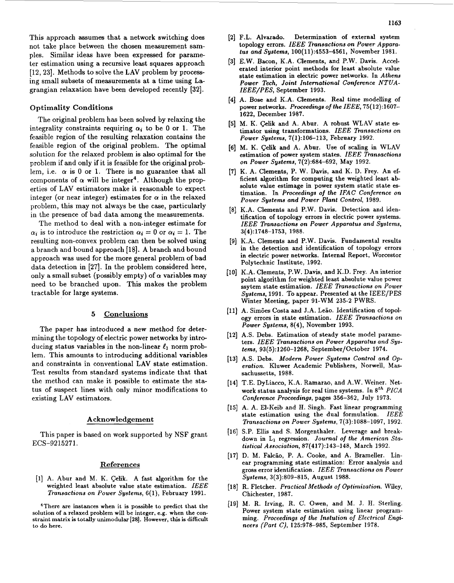This approach assumes that a network switching does not take place between the chosen measurement samples. Similar ideas have been expressed for parame ter estimation using a recursive least squares approach [12, 23]. Methods to solve the LAV problem by processing small subsets of measurements at a time using Lagrangian relaxation have been developed recently **[32].** 

# Optimality Conditions

The original problem has been solved by relaxing the integrality constraints requiring  $\alpha_i$  to be 0 or 1. The feasible region of the resulting relaxation contains the feasible region of the original problem. The optimal solution for the relaxed problem is **also** optimal for the problem if and only if it is feasible for the original problem, i.e.  $\alpha$  is 0 or 1. There is no guarantee that all components of  $\alpha$  will be integer<sup>4</sup>. Although the properties of LAV estimators make it reasonable to expect integer (or near integer) estimates for  $\alpha$  in the relaxed problem, this may not always be the case, particularly in the presence of bad data among the measurements.

The method to deal with a non-integer estimate for  $\alpha_i$  is to introduce the restriction  $\alpha_i = 0$  or  $\alpha_i = 1$ . The resulting non-convex problem can then be solved using a branch and bound approach [18]. A branch and bound approach was used for the more general problem of bad data detection in [27]. In the problem considered here, only a small subset (possibly empty) of  $\alpha$  variables may need to be branched upon. This makes the problem tractable for large systems.

## *5* Conclusions

The paper has introduced a new method for determining the topology of electric power networks by introducing status variables in the non-linear  $\ell_1$  norm problem. This amounts to introducing additional variables and constraints in conventional LAV state estimation. Test results from standard systems indicate that that the method can make it possible to estimate the status of suspect lines with only minor modifications to existing LAV estimators.

#### Acknowledgement

This paper is based on work supported by **NSF** grant ECS-9215271.

#### References

**[l]** A. Abur and M. K. Celik. A fast algorithm for the weighted least absolute value state estimation. **IEEE Transactions on Power Systems, 6( I),** February **1991.** 

**'There are instances when it is possible to predict that the solution of a relaxed problem will be integer, e.g. when the constraint matrix is totally unimodular [ZS]. However, this is difficult to do here.** 

*1163* 

- topology errors. **IEEE Transactions on Power Apparatus and Systems, 100(11):4553-4561,** November **1981.**
- **[3]** E.W. Bacon, K.A. Clements, and P.W. Davis. Accelerated interior point methods for least absolute value state estimation in electric power networks. In **Athens Power Tech, Joint International Conference NTUA-IEEE/PES,** September **1993.**
- **[4]** A. Bose and K.A. Clements. Real time modelling of power networks. **Proceedings of the IEEE, 75( 12):1607- 1622,** December **1987.**
- **[5]** M. **K.** celik and A. Abur. A robust WLAV state es timator using transformations. **IEEE Transactions on Power Systems, 7(1):106-113,** February **1992.**
- **[6] M. K.** Celik and A. Abur. Use of scaling in WLAV estimation of power system states. **IEEE Transactions on Power Systems, 7(2):684-692,** May **1992.**
- **[7] K.** A. Clements, P. W. Davis, and K. D. Frey. An efficient algorithm for computing the weighted least absolute value estimage in power system static state estimation. In **Proceedings of the IFAC Conference on Power Systems and Power Plant Control, 1989.**
- **[8]** K.A. Clements and P.W. Davis. Detection and identification of topology errors in electric power systems. **IEEE Transactions on Power Apparatus and Systems, 3(4):1748-1753, 1988.**
- **[9]** K.A. Clements and P.W. Davis. Fundamental results in the detection and identification of topology errors in electric power networks. Internal Report, Worcestor Polytechnic Institute, **1992.**
- **[IO]** K.A. Clements, P.W. Davis, and K.D. Frey. An interior point algorithm for weighted least absolute value power ssytem state estimation. **IEEE Transactions on Power Systems, 1991. To** appear. Presented at the IEEE/PES Winter Meeting, paper 91-WM **235-2** PWRS.
- [11] A. Simões Costa and J.A. Leão. Identification of topology errors in state estimation. **IEEE Transactions on Power Systems, 8(4),** November **1993.**
- [12] A.S. Debs. Estimation of steady state model parameters. **IEEE Transactions on Power Apparatus and Systems, 93(5):1260-1268,** September/October **1974.**
- **[13]** A.S. Debs. **Modern Power Systems Control and Operation.** Kluwer Academic Publishers, Norwell, Massachussetts, **1988.**
- **[14]** T.E. DyLiacco, K.A. Ramarao, and A.W. Weiner. Network status analysis for real time systems. In *8th* **PICA Conference Proceedings,** pages **356-362,** July **1973.**
- **[15]** A. A. El-Keib and H. Singh. Fast linear programming state estimation using the dual formulation. **IEEE Transactions on Power Systems, 7(3):1088-1097, 1992.**
- [16] S.P. Ellis and S. Morgenthaler. Leverage and breakdown in L1 regression. **Journal** of **the American Statistical Association, 87(417):143-148,** March **1992.**
- [17] D. M. Falcão, P. A. Cooke, and A. Brameller. Linear programming state estimation: Error analysis and gross error identification. **IEEE Transactions on Power Systems, 3(3):809-815,** August **1988.**
- **[18]** R. Fletcher. **Practical Methods of Optimization.** Wiley, Chichester, **1987.**
- [19] M. R. Irving, R. C. Owen, and M. J. H. Sterling. Power system state estimation using linear programming. **Proceedings of the Instution of Electrical Engineers (Part C), 125:978-985, September 1978.**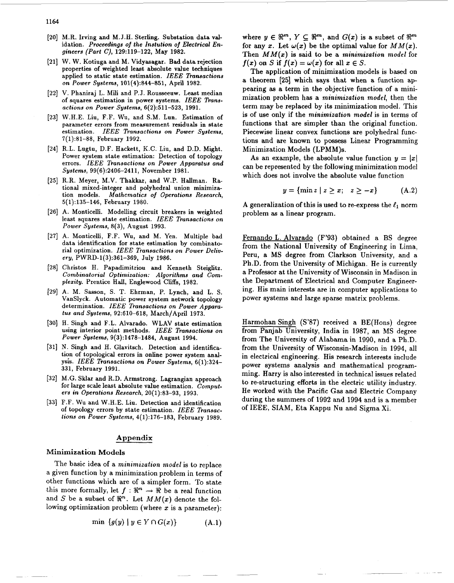- [20] M.R. Irving and M.J.H. Sterling. Substation data validation. **Proceedings** *of* **the Instution** *of* **Electrical Engineers (Part C), 129:119-122,** May **1982.**
- W. W. Kotiuga and M. Vidyasagar. **Bad** data rejection properties of weighted least absolute value techniques applied to static state estimation. **IEEE Transactions on Power Systems, 101(4):844-851,** April **1982.**
- V. Phaniraj L. Mili and P.J. Rousseeuw. Least median of squares estimation in power systems. IEEE Trans**actions on Power Systems, 6(2):511-523, 1991.**
- W.H.E. Liu, F.F. Wu, and S.M. Lun. Estimation of parameter errors from measurement residuals in state estimation. **IEEE Transactions on Power Systems**, **7(1):81-88,** February **1992.**
- [24] R.L. Lugtu, D.F. Hackett, K.C. Liu, and D.D. Might. Power system state estimation: Detection of topology errors. **IEEE Transactions on Power Apparatus and Systems, 99(6):2406-2411,** November **1981.**
- [25] R.R. Meyer, M.V. Thakkar, and W.P. Hallman. Rational mixed-integer and polyhedral union minimiza-<br>tion models. Mathematics of Operations Research. Mathematics of Operations Research, **5(1):135-146,** February **1980.**
- [26] A. Monticelli. Modelling circuit breakers in weighted least squares state estimation. IEEE Transactions on **Power Systems, 8(3),** August **1993.**
- [27] A. Monticelli, F.F. Wu, and M. Yen. Multiple bad data identification for state estimation by combinatorial optimization. **ZEEE Transactions on Power Delivery, PWRD-1(3):361-369,** July **1986.**
- [28] Christos H. Papadimitriou and Kenneth Steiglitz. **Combinatorial Optimization: Algorithms and Complezity.** Prentice Hall, Englewood **Cliffs, 1982.**
- A. M. Sasson, S. T. Ehrman, P. Lynch, and L. S.  $\lceil 29 \rceil$ VanSlyck. Automatic power system network topology determination. IEEE Transactions on Power Appara**tus and Systems, 92510-618,** March/April **1973.**
- [30] H. Singh and F.L. Alvarado. WLAV state estimation using interior point methods. IEEE Transactions on **Power Systems, 9(3):1478-1484,** August **1994.**
- [31] N. Singh and H. Glavitsch. Detection and identification of topological errors in online power system anal**ysis. ZEEE Transactions on Power Systems, 6(1):324- 331,** February **1991.**
- M.G. **Sklar** and R.D. Armstrong. Lagrangian approach for large scale least absolute value estimation. **Computers in Operations Research, 20(1):83-93, 1993.**
- F.F. Wu and W.H.E. Liu. Detection and identification of topology errors by state estimation. **ZEEE Transactions on Power Systems, 4(1):176-183,** February **1989.**

#### Appendix

# **Minimization Models**

The basic idea of a **minimization model** is to replace a given function by a minimization problem in terms of other functions which are of a simpler form. To state this more formally, let  $f : \mathbb{R}^n \to \mathbb{R}$  be a real function and S be a subset of  $\mathbb{R}^n$ . Let  $MM(x)$  denote the following optimization problem (where **z** is a parameter):

$$
\min \{g(y) \mid y \in Y \cap G(x)\} \tag{A.1}
$$

where  $y \in \mathbb{R}^m$ ,  $Y \subset \mathbb{R}^m$ , and  $G(x)$  is a subset of  $\mathbb{R}^m$ for any x. Let  $\omega(x)$  be the optimal value for  $MM(x)$ . Then *MM(x)* is said to be a **minimization model** for  $f(x)$  on S if  $f(x) = \omega(x)$  for all  $x \in S$ .

The application of minimization models is based on a theorem **[25]** which says that when a function appearing **as** a term in the objective function of a minimization problem has a **minimization model,** then the term may be replaced by its minimization model. This is of use only if the **minimization model** is in terms of functions that are simpler than the original function. Piecewise linear convex functions are polyhedral functions and are known to possess Linear Programming Minimization Models (LPMM)s.

As an example, the absolute value function  $y = |x|$ can be represented by the following minimization model which does not involve the absolute value function

$$
y = \{\min z \mid z \geq x; \quad z \geq -x\} \tag{A.2}
$$

A generalization of this is used to re-express the  $\ell_1$  norm problem **as** a linear program.

Fernando L. Alvarado (F'93) obtained a **BS** degree from the National University of Engineering in Lima, Peru, a MS degree from Clarkson University, and **a**  Ph.D. from the University of Michigan. He is currently a Professor at the University of Wisconsin in Madison in the Department of Electrical and Computer Engineering. His main interests are in computer applications to power systems and large sparse matrix problems.

Harmohan Singh **(S'87)** received a BE(Hons) degree from Panjab University, India in 1987, an MS degree from The University of Alabama in 1990, and a Ph.D. from the University of Wisconsin-Madison in 1994, all in electrical engineering. His research interests include power systems analysis and mathematical programming. Harry is also interested in technical issues related to re-structuring efforts in the electric utility industry. He worked with the Pacific **Gas** and Electric Company during the summers of 1992 and 1994 and is a member of IEEE, SIAM, Eta Kappu Nu and Sigma Xi.